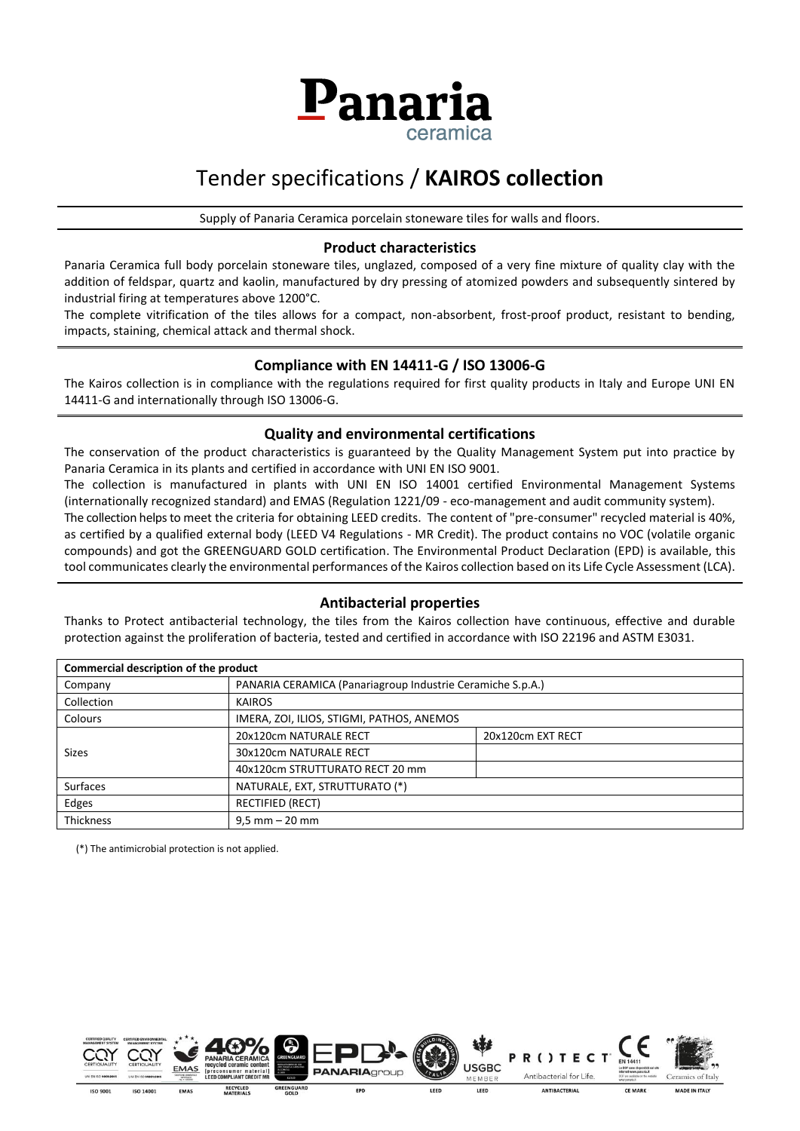

## Tender specifications / **KAIROS collection**

Supply of Panaria Ceramica porcelain stoneware tiles for walls and floors.

#### **Product characteristics**

Panaria Ceramica full body porcelain stoneware tiles, unglazed, composed of a very fine mixture of quality clay with the addition of feldspar, quartz and kaolin, manufactured by dry pressing of atomized powders and subsequently sintered by industrial firing at temperatures above 1200°C.

The complete vitrification of the tiles allows for a compact, non-absorbent, frost-proof product, resistant to bending, impacts, staining, chemical attack and thermal shock.

#### **Compliance with EN 14411-G / ISO 13006-G**

The Kairos collection is in compliance with the regulations required for first quality products in Italy and Europe UNI EN 14411-G and internationally through ISO 13006-G.

#### **Quality and environmental certifications**

The conservation of the product characteristics is guaranteed by the Quality Management System put into practice by Panaria Ceramica in its plants and certified in accordance with UNI EN ISO 9001.

The collection is manufactured in plants with UNI EN ISO 14001 certified Environmental Management Systems (internationally recognized standard) and EMAS (Regulation 1221/09 - eco-management and audit community system). The collection helps to meet the criteria for obtaining LEED credits. The content of "pre-consumer" recycled material is 40%, as certified by a qualified external body (LEED V4 Regulations - MR Credit). The product contains no VOC (volatile organic compounds) and got the GREENGUARD GOLD certification. The Environmental Product Declaration (EPD) is available, this tool communicates clearly the environmental performances of the Kairos collection based on its Life Cycle Assessment (LCA).

#### **Antibacterial properties**

Thanks to Protect antibacterial technology, the tiles from the Kairos collection have continuous, effective and durable protection against the proliferation of bacteria, tested and certified in accordance with ISO 22196 and ASTM E3031.

| Commercial description of the product |                                                            |                   |  |  |  |
|---------------------------------------|------------------------------------------------------------|-------------------|--|--|--|
| Company                               | PANARIA CERAMICA (Panariagroup Industrie Ceramiche S.p.A.) |                   |  |  |  |
| Collection                            | <b>KAIROS</b>                                              |                   |  |  |  |
| Colours                               | IMERA, ZOI, ILIOS, STIGMI, PATHOS, ANEMOS                  |                   |  |  |  |
| <b>Sizes</b>                          | 20x120cm NATURALE RECT                                     | 20x120cm EXT RECT |  |  |  |
|                                       | 30x120cm NATURALE RECT                                     |                   |  |  |  |
|                                       | 40x120cm STRUTTURATO RECT 20 mm                            |                   |  |  |  |
| <b>Surfaces</b>                       | NATURALE, EXT, STRUTTURATO (*)                             |                   |  |  |  |
| Edges                                 | <b>RECTIFIED (RECT)</b>                                    |                   |  |  |  |
| <b>Thickness</b>                      | $9.5$ mm $-20$ mm                                          |                   |  |  |  |

(\*) The antimicrobial protection is not applied.





**PANARIA**GROUD GREENGUARD

EPD

MEMBER LEED LEED

**USGBC** 

**CE MARK** 

R()T

Antibacterial for Life